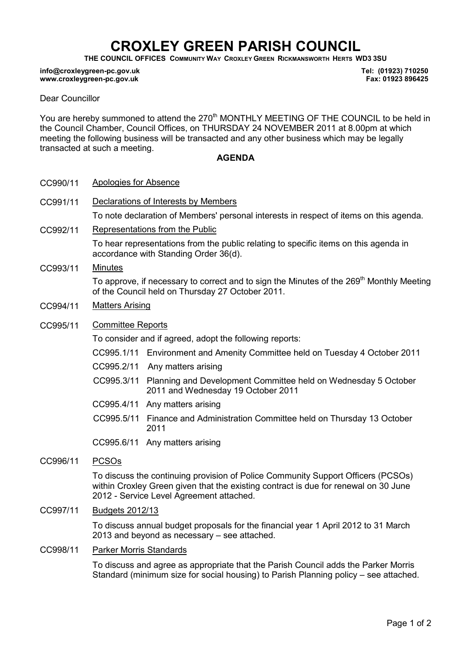# CROXLEY GREEN PARISH COUNCIL

THE COUNCIL OFFICES COMMUNITY WAY CROXLEY GREEN RICKMANSWORTH HERTS WD3 3SU

#### info@croxleygreen-pc.gov.uk www.croxleygreen-pc.gov.uk

Tel: (01923) 710250 Fax: 01923 896425

#### Dear Councillor

You are hereby summoned to attend the 270<sup>th</sup> MONTHLY MEETING OF THE COUNCIL to be held in the Council Chamber, Council Offices, on THURSDAY 24 NOVEMBER 2011 at 8.00pm at which meeting the following business will be transacted and any other business which may be legally transacted at such a meeting.

### AGENDA

- CC990/11 Apologies for Absence
- CC991/11 Declarations of Interests by Members To note declaration of Members' personal interests in respect of items on this agenda.
- CC992/11 Representations from the Public

To hear representations from the public relating to specific items on this agenda in accordance with Standing Order 36(d).

CC993/11 Minutes

To approve, if necessary to correct and to sign the Minutes of the 269<sup>th</sup> Monthly Meeting of the Council held on Thursday 27 October 2011.

- CC994/11 Matters Arising
- CC995/11 Committee Reports

To consider and if agreed, adopt the following reports:

- CC995.1/11 Environment and Amenity Committee held on Tuesday 4 October 2011
- CC995.2/11 Any matters arising
- CC995.3/11 Planning and Development Committee held on Wednesday 5 October 2011 and Wednesday 19 October 2011
- CC995.4/11 Any matters arising
- CC995.5/11 Finance and Administration Committee held on Thursday 13 October 2011
- CC995.6/11 Any matters arising
- CC996/11 PCSOs

To discuss the continuing provision of Police Community Support Officers (PCSOs) within Croxley Green given that the existing contract is due for renewal on 30 June 2012 - Service Level Agreement attached.

CC997/11 Budgets 2012/13

To discuss annual budget proposals for the financial year 1 April 2012 to 31 March 2013 and beyond as necessary – see attached.

CC998/11 Parker Morris Standards

To discuss and agree as appropriate that the Parish Council adds the Parker Morris Standard (minimum size for social housing) to Parish Planning policy – see attached.